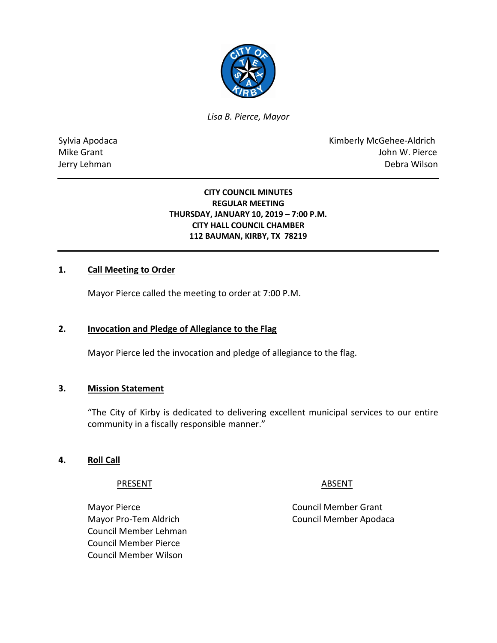

*Lisa B. Pierce, Mayor* 

Sylvia Apodaca **Kimberly McGehee-Aldrich** Mike Grant **Mike Grant** John W. Pierce Jerry Lehman Debra Wilson

#### **CITY COUNCIL MINUTES REGULAR MEETING THURSDAY, JANUARY 10, 2019 – 7:00 P.M. CITY HALL COUNCIL CHAMBER 112 BAUMAN, KIRBY, TX 78219**

# **1. Call Meeting to Order**

Mayor Pierce called the meeting to order at 7:00 P.M.

#### **2. Invocation and Pledge of Allegiance to the Flag**

Mayor Pierce led the invocation and pledge of allegiance to the flag.

#### **3. Mission Statement**

"The City of Kirby is dedicated to delivering excellent municipal services to our entire community in a fiscally responsible manner."

#### **4. Roll Call**

PRESENT ABSENT

Mayor Pierce **Council Member Grant** Council Member Lehman Council Member Pierce Council Member Wilson

Mayor Pro-Tem Aldrich Council Member Apodaca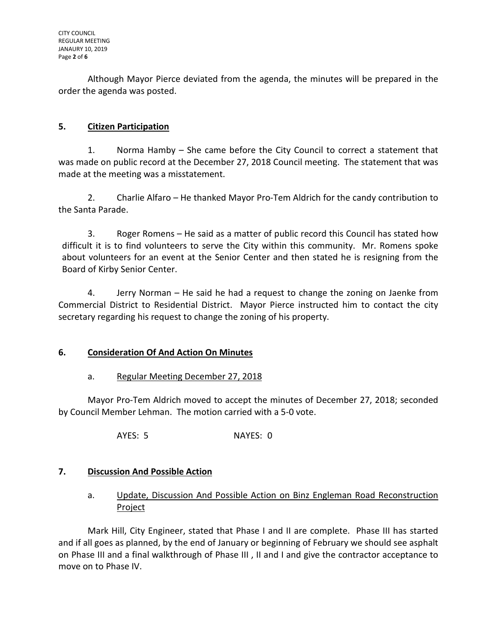Although Mayor Pierce deviated from the agenda, the minutes will be prepared in the order the agenda was posted.

# **5. Citizen Participation**

1. Norma Hamby – She came before the City Council to correct a statement that was made on public record at the December 27, 2018 Council meeting. The statement that was made at the meeting was a misstatement.

2. Charlie Alfaro – He thanked Mayor Pro-Tem Aldrich for the candy contribution to the Santa Parade.

3. Roger Romens – He said as a matter of public record this Council has stated how difficult it is to find volunteers to serve the City within this community. Mr. Romens spoke about volunteers for an event at the Senior Center and then stated he is resigning from the Board of Kirby Senior Center.

4. Jerry Norman – He said he had a request to change the zoning on Jaenke from Commercial District to Residential District. Mayor Pierce instructed him to contact the city secretary regarding his request to change the zoning of his property.

# **6. Consideration Of And Action On Minutes**

# a. Regular Meeting December 27, 2018

Mayor Pro-Tem Aldrich moved to accept the minutes of December 27, 2018; seconded by Council Member Lehman. The motion carried with a 5-0 vote.

AYES: 5 NAYES: 0

# **7. Discussion And Possible Action**

# a. Update, Discussion And Possible Action on Binz Engleman Road Reconstruction Project

Mark Hill, City Engineer, stated that Phase I and II are complete. Phase III has started and if all goes as planned, by the end of January or beginning of February we should see asphalt on Phase III and a final walkthrough of Phase III , II and I and give the contractor acceptance to move on to Phase IV.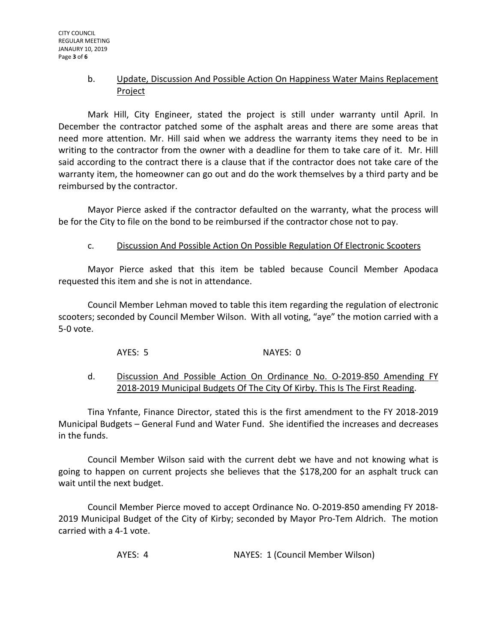## b. Update, Discussion And Possible Action On Happiness Water Mains Replacement Project

Mark Hill, City Engineer, stated the project is still under warranty until April. In December the contractor patched some of the asphalt areas and there are some areas that need more attention. Mr. Hill said when we address the warranty items they need to be in writing to the contractor from the owner with a deadline for them to take care of it. Mr. Hill said according to the contract there is a clause that if the contractor does not take care of the warranty item, the homeowner can go out and do the work themselves by a third party and be reimbursed by the contractor.

Mayor Pierce asked if the contractor defaulted on the warranty, what the process will be for the City to file on the bond to be reimbursed if the contractor chose not to pay.

## c. Discussion And Possible Action On Possible Regulation Of Electronic Scooters

Mayor Pierce asked that this item be tabled because Council Member Apodaca requested this item and she is not in attendance.

Council Member Lehman moved to table this item regarding the regulation of electronic scooters; seconded by Council Member Wilson. With all voting, "aye" the motion carried with a 5-0 vote.

AYES: 5 NAYES: 0

## d. Discussion And Possible Action On Ordinance No. O-2019-850 Amending FY 2018-2019 Municipal Budgets Of The City Of Kirby. This Is The First Reading.

Tina Ynfante, Finance Director, stated this is the first amendment to the FY 2018-2019 Municipal Budgets – General Fund and Water Fund. She identified the increases and decreases in the funds.

Council Member Wilson said with the current debt we have and not knowing what is going to happen on current projects she believes that the \$178,200 for an asphalt truck can wait until the next budget.

Council Member Pierce moved to accept Ordinance No. O-2019-850 amending FY 2018- 2019 Municipal Budget of the City of Kirby; seconded by Mayor Pro-Tem Aldrich. The motion carried with a 4-1 vote.

AYES: 4 NAYES: 1 (Council Member Wilson)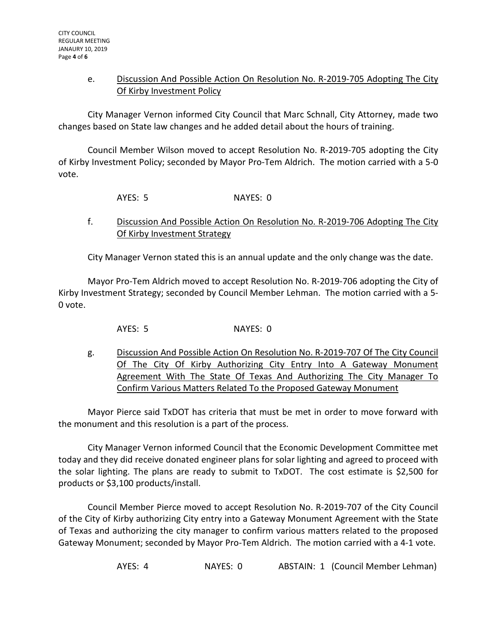## e. Discussion And Possible Action On Resolution No. R-2019-705 Adopting The City Of Kirby Investment Policy

City Manager Vernon informed City Council that Marc Schnall, City Attorney, made two changes based on State law changes and he added detail about the hours of training.

Council Member Wilson moved to accept Resolution No. R-2019-705 adopting the City of Kirby Investment Policy; seconded by Mayor Pro-Tem Aldrich. The motion carried with a 5-0 vote.

AYES: 5 NAYES: 0

# f. Discussion And Possible Action On Resolution No. R-2019-706 Adopting The City Of Kirby Investment Strategy

City Manager Vernon stated this is an annual update and the only change was the date.

Mayor Pro-Tem Aldrich moved to accept Resolution No. R-2019-706 adopting the City of Kirby Investment Strategy; seconded by Council Member Lehman. The motion carried with a 5- 0 vote.

AYES: 5 NAYES: 0

g. Discussion And Possible Action On Resolution No. R-2019-707 Of The City Council Of The City Of Kirby Authorizing City Entry Into A Gateway Monument Agreement With The State Of Texas And Authorizing The City Manager To Confirm Various Matters Related To the Proposed Gateway Monument

Mayor Pierce said TxDOT has criteria that must be met in order to move forward with the monument and this resolution is a part of the process.

City Manager Vernon informed Council that the Economic Development Committee met today and they did receive donated engineer plans for solar lighting and agreed to proceed with the solar lighting. The plans are ready to submit to TxDOT. The cost estimate is \$2,500 for products or \$3,100 products/install.

Council Member Pierce moved to accept Resolution No. R-2019-707 of the City Council of the City of Kirby authorizing City entry into a Gateway Monument Agreement with the State of Texas and authorizing the city manager to confirm various matters related to the proposed Gateway Monument; seconded by Mayor Pro-Tem Aldrich. The motion carried with a 4-1 vote.

AYES: 4 NAYES: 0 ABSTAIN: 1 (Council Member Lehman)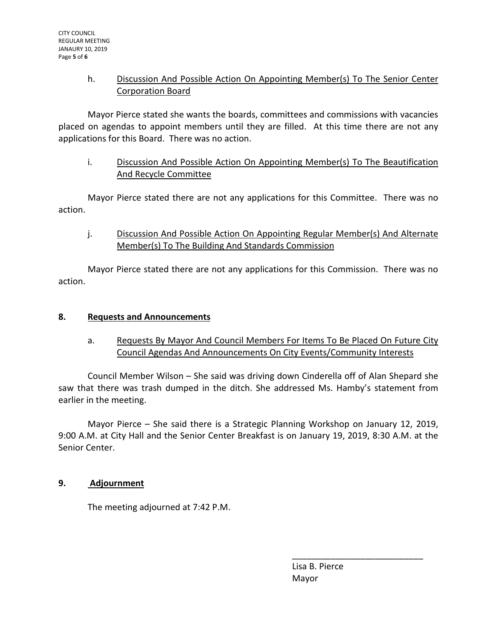# h. Discussion And Possible Action On Appointing Member(s) To The Senior Center Corporation Board

Mayor Pierce stated she wants the boards, committees and commissions with vacancies placed on agendas to appoint members until they are filled. At this time there are not any applications for this Board. There was no action.

# i. Discussion And Possible Action On Appointing Member(s) To The Beautification And Recycle Committee

Mayor Pierce stated there are not any applications for this Committee. There was no action.

j. Discussion And Possible Action On Appointing Regular Member(s) And Alternate Member(s) To The Building And Standards Commission

Mayor Pierce stated there are not any applications for this Commission. There was no action.

# **8. Requests and Announcements**

# a. Requests By Mayor And Council Members For Items To Be Placed On Future City Council Agendas And Announcements On City Events/Community Interests

Council Member Wilson – She said was driving down Cinderella off of Alan Shepard she saw that there was trash dumped in the ditch. She addressed Ms. Hamby's statement from earlier in the meeting.

Mayor Pierce – She said there is a Strategic Planning Workshop on January 12, 2019, 9:00 A.M. at City Hall and the Senior Center Breakfast is on January 19, 2019, 8:30 A.M. at the Senior Center.

#### **9. Adjournment**

The meeting adjourned at 7:42 P.M.

 Lisa B. Pierce Mayor

\_\_\_\_\_\_\_\_\_\_\_\_\_\_\_\_\_\_\_\_\_\_\_\_\_\_\_